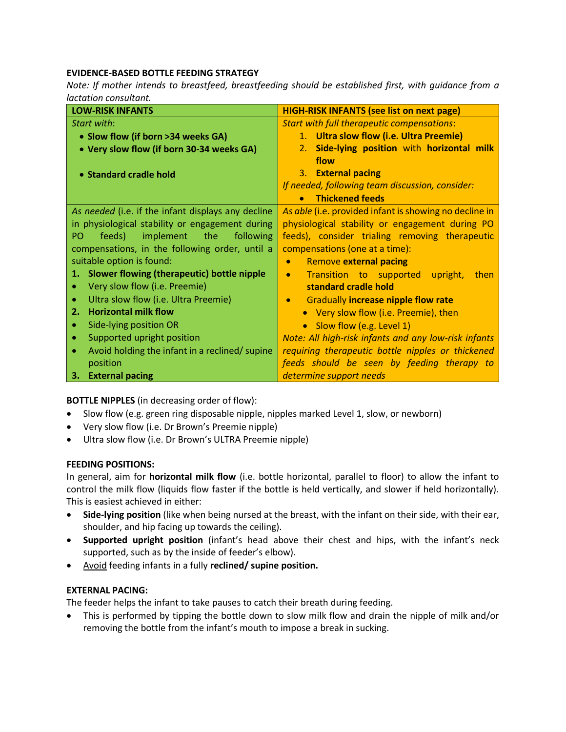# **EVIDENCE-BASED BOTTLE FEEDING STRATEGY**

*Note: If mother intends to breastfeed, breastfeeding should be established first, with guidance from a lactation consultant.*

| <b>LOW-RISK INFANTS</b>                                                          | <b>HIGH-RISK INFANTS (see list on next page)</b>        |  |
|----------------------------------------------------------------------------------|---------------------------------------------------------|--|
| Start with:                                                                      | <b>Start with full therapeutic compensations:</b>       |  |
| • Slow flow (if born >34 weeks GA)                                               | 1. Ultra slow flow (i.e. Ultra Preemie)                 |  |
| • Very slow flow (if born 30-34 weeks GA)                                        | Side-lying position with horizontal milk<br>2.          |  |
|                                                                                  | flow                                                    |  |
| • Standard cradle hold                                                           | 3. External pacing                                      |  |
|                                                                                  | If needed, following team discussion, consider:         |  |
|                                                                                  | <b>Thickened feeds</b><br>$\bullet$                     |  |
| As needed (i.e. if the infant displays any decline                               | As able (i.e. provided infant is showing no decline in  |  |
| in physiological stability or engagement during                                  | physiological stability or engagement during PO         |  |
| implement<br>feeds)<br>the<br>following<br>PO.                                   | feeds), consider trialing removing therapeutic          |  |
| compensations, in the following order, until a<br>compensations (one at a time): |                                                         |  |
| suitable option is found:<br><b>Remove external pacing</b><br>$\bullet$          |                                                         |  |
| Slower flowing (therapeutic) bottle nipple<br>1.                                 | Transition to supported upright,<br>then                |  |
| Very slow flow (i.e. Preemie)                                                    | standard cradle hold                                    |  |
| Ultra slow flow (i.e. Ultra Preemie)<br>$\bullet$                                | <b>Gradually increase nipple flow rate</b><br>$\bullet$ |  |
| <b>Horizontal milk flow</b><br>2.                                                | • Very slow flow (i.e. Preemie), then                   |  |
| Side-lying position OR<br>۰                                                      | • Slow flow (e.g. Level 1)                              |  |
| Supported upright position<br>۰                                                  | Note: All high-risk infants and any low-risk infants    |  |
| Avoid holding the infant in a reclined/ supine<br>$\bullet$                      | requiring therapeutic bottle nipples or thickened       |  |
| position                                                                         | feeds should be seen by feeding therapy to              |  |
| 3. External pacing                                                               | determine support needs                                 |  |

**BOTTLE NIPPLES** (in decreasing order of flow):

- Slow flow (e.g. green ring disposable nipple, nipples marked Level 1, slow, or newborn)
- Very slow flow (i.e. Dr Brown's Preemie nipple)
- Ultra slow flow (i.e. Dr Brown's ULTRA Preemie nipple)

# **FEEDING POSITIONS:**

In general, aim for **horizontal milk flow** (i.e. bottle horizontal, parallel to floor) to allow the infant to control the milk flow (liquids flow faster if the bottle is held vertically, and slower if held horizontally). This is easiest achieved in either:

- **Side-lying position** (like when being nursed at the breast, with the infant on their side, with their ear, shoulder, and hip facing up towards the ceiling).
- **Supported upright position** (infant's head above their chest and hips, with the infant's neck supported, such as by the inside of feeder's elbow).
- Avoid feeding infants in a fully **reclined/ supine position.**

# **EXTERNAL PACING:**

The feeder helps the infant to take pauses to catch their breath during feeding.

• This is performed by tipping the bottle down to slow milk flow and drain the nipple of milk and/or removing the bottle from the infant's mouth to impose a break in sucking.